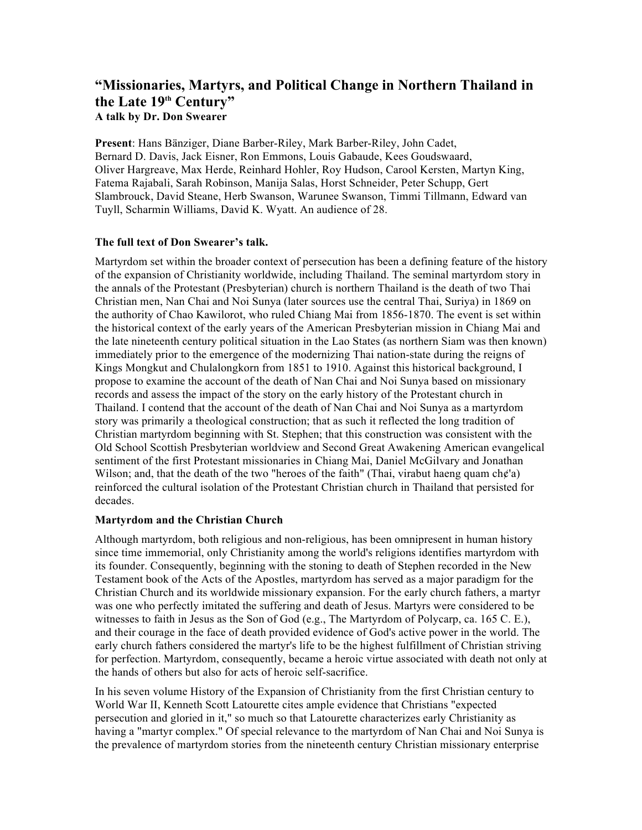# **"Missionaries, Martyrs, and Political Change in Northern Thailand in the Late 19th Century" A talk by Dr. Don Swearer**

**Present**: Hans Bänziger, Diane Barber-Riley, Mark Barber-Riley, John Cadet, Bernard D. Davis, Jack Eisner, Ron Emmons, Louis Gabaude, Kees Goudswaard, Oliver Hargreave, Max Herde, Reinhard Hohler, Roy Hudson, Carool Kersten, Martyn King, Fatema Rajabali, Sarah Robinson, Manija Salas, Horst Schneider, Peter Schupp, Gert Slambrouck, David Steane, Herb Swanson, Warunee Swanson, Timmi Tillmann, Edward van Tuyll, Scharmin Williams, David K. Wyatt. An audience of 28.

## **The full text of Don Swearer's talk.**

Martyrdom set within the broader context of persecution has been a defining feature of the history of the expansion of Christianity worldwide, including Thailand. The seminal martyrdom story in the annals of the Protestant (Presbyterian) church is northern Thailand is the death of two Thai Christian men, Nan Chai and Noi Sunya (later sources use the central Thai, Suriya) in 1869 on the authority of Chao Kawilorot, who ruled Chiang Mai from 1856-1870. The event is set within the historical context of the early years of the American Presbyterian mission in Chiang Mai and the late nineteenth century political situation in the Lao States (as northern Siam was then known) immediately prior to the emergence of the modernizing Thai nation-state during the reigns of Kings Mongkut and Chulalongkorn from 1851 to 1910. Against this historical background, I propose to examine the account of the death of Nan Chai and Noi Sunya based on missionary records and assess the impact of the story on the early history of the Protestant church in Thailand. I contend that the account of the death of Nan Chai and Noi Sunya as a martyrdom story was primarily a theological construction; that as such it reflected the long tradition of Christian martyrdom beginning with St. Stephen; that this construction was consistent with the Old School Scottish Presbyterian worldview and Second Great Awakening American evangelical sentiment of the first Protestant missionaries in Chiang Mai, Daniel McGilvary and Jonathan Wilson; and, that the death of the two "heroes of the faith" (Thai, virabut haeng quam ch¢'a) reinforced the cultural isolation of the Protestant Christian church in Thailand that persisted for decades.

## **Martyrdom and the Christian Church**

Although martyrdom, both religious and non-religious, has been omnipresent in human history since time immemorial, only Christianity among the world's religions identifies martyrdom with its founder. Consequently, beginning with the stoning to death of Stephen recorded in the New Testament book of the Acts of the Apostles, martyrdom has served as a major paradigm for the Christian Church and its worldwide missionary expansion. For the early church fathers, a martyr was one who perfectly imitated the suffering and death of Jesus. Martyrs were considered to be witnesses to faith in Jesus as the Son of God (e.g., The Martyrdom of Polycarp, ca. 165 C. E.), and their courage in the face of death provided evidence of God's active power in the world. The early church fathers considered the martyr's life to be the highest fulfillment of Christian striving for perfection. Martyrdom, consequently, became a heroic virtue associated with death not only at the hands of others but also for acts of heroic self-sacrifice.

In his seven volume History of the Expansion of Christianity from the first Christian century to World War II, Kenneth Scott Latourette cites ample evidence that Christians "expected persecution and gloried in it," so much so that Latourette characterizes early Christianity as having a "martyr complex." Of special relevance to the martyrdom of Nan Chai and Noi Sunya is the prevalence of martyrdom stories from the nineteenth century Christian missionary enterprise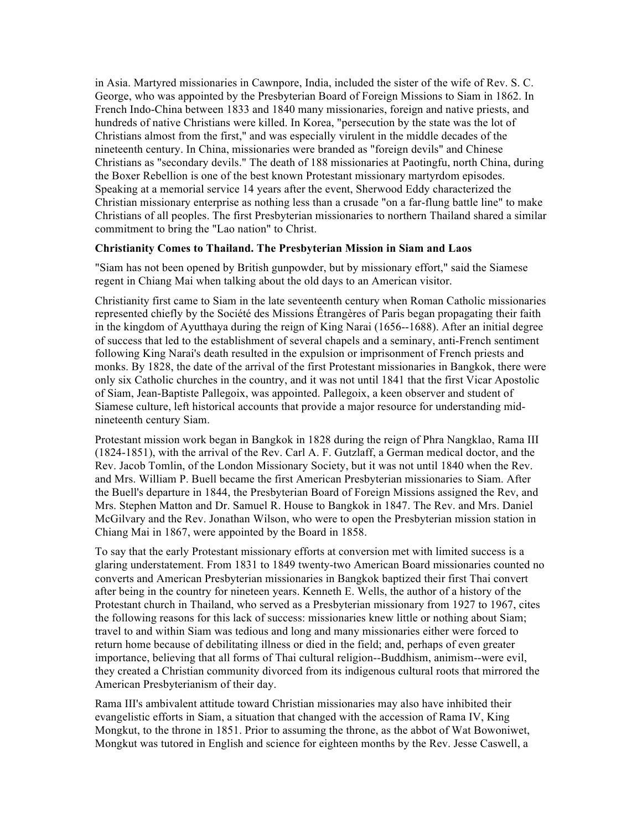in Asia. Martyred missionaries in Cawnpore, India, included the sister of the wife of Rev. S. C. George, who was appointed by the Presbyterian Board of Foreign Missions to Siam in 1862. In French Indo-China between 1833 and 1840 many missionaries, foreign and native priests, and hundreds of native Christians were killed. In Korea, "persecution by the state was the lot of Christians almost from the first," and was especially virulent in the middle decades of the nineteenth century. In China, missionaries were branded as "foreign devils" and Chinese Christians as "secondary devils." The death of 188 missionaries at Paotingfu, north China, during the Boxer Rebellion is one of the best known Protestant missionary martyrdom episodes. Speaking at a memorial service 14 years after the event, Sherwood Eddy characterized the Christian missionary enterprise as nothing less than a crusade "on a far-flung battle line" to make Christians of all peoples. The first Presbyterian missionaries to northern Thailand shared a similar commitment to bring the "Lao nation" to Christ.

#### **Christianity Comes to Thailand. The Presbyterian Mission in Siam and Laos**

"Siam has not been opened by British gunpowder, but by missionary effort," said the Siamese regent in Chiang Mai when talking about the old days to an American visitor.

Christianity first came to Siam in the late seventeenth century when Roman Catholic missionaries represented chiefly by the Société des Missions Êtrangères of Paris began propagating their faith in the kingdom of Ayutthaya during the reign of King Narai (1656--1688). After an initial degree of success that led to the establishment of several chapels and a seminary, anti-French sentiment following King Narai's death resulted in the expulsion or imprisonment of French priests and monks. By 1828, the date of the arrival of the first Protestant missionaries in Bangkok, there were only six Catholic churches in the country, and it was not until 1841 that the first Vicar Apostolic of Siam, Jean-Baptiste Pallegoix, was appointed. Pallegoix, a keen observer and student of Siamese culture, left historical accounts that provide a major resource for understanding midnineteenth century Siam.

Protestant mission work began in Bangkok in 1828 during the reign of Phra Nangklao, Rama III (1824-1851), with the arrival of the Rev. Carl A. F. Gutzlaff, a German medical doctor, and the Rev. Jacob Tomlin, of the London Missionary Society, but it was not until 1840 when the Rev. and Mrs. William P. Buell became the first American Presbyterian missionaries to Siam. After the Buell's departure in 1844, the Presbyterian Board of Foreign Missions assigned the Rev, and Mrs. Stephen Matton and Dr. Samuel R. House to Bangkok in 1847. The Rev. and Mrs. Daniel McGilvary and the Rev. Jonathan Wilson, who were to open the Presbyterian mission station in Chiang Mai in 1867, were appointed by the Board in 1858.

To say that the early Protestant missionary efforts at conversion met with limited success is a glaring understatement. From 1831 to 1849 twenty-two American Board missionaries counted no converts and American Presbyterian missionaries in Bangkok baptized their first Thai convert after being in the country for nineteen years. Kenneth E. Wells, the author of a history of the Protestant church in Thailand, who served as a Presbyterian missionary from 1927 to 1967, cites the following reasons for this lack of success: missionaries knew little or nothing about Siam; travel to and within Siam was tedious and long and many missionaries either were forced to return home because of debilitating illness or died in the field; and, perhaps of even greater importance, believing that all forms of Thai cultural religion--Buddhism, animism--were evil, they created a Christian community divorced from its indigenous cultural roots that mirrored the American Presbyterianism of their day.

Rama III's ambivalent attitude toward Christian missionaries may also have inhibited their evangelistic efforts in Siam, a situation that changed with the accession of Rama IV, King Mongkut, to the throne in 1851. Prior to assuming the throne, as the abbot of Wat Bowoniwet, Mongkut was tutored in English and science for eighteen months by the Rev. Jesse Caswell, a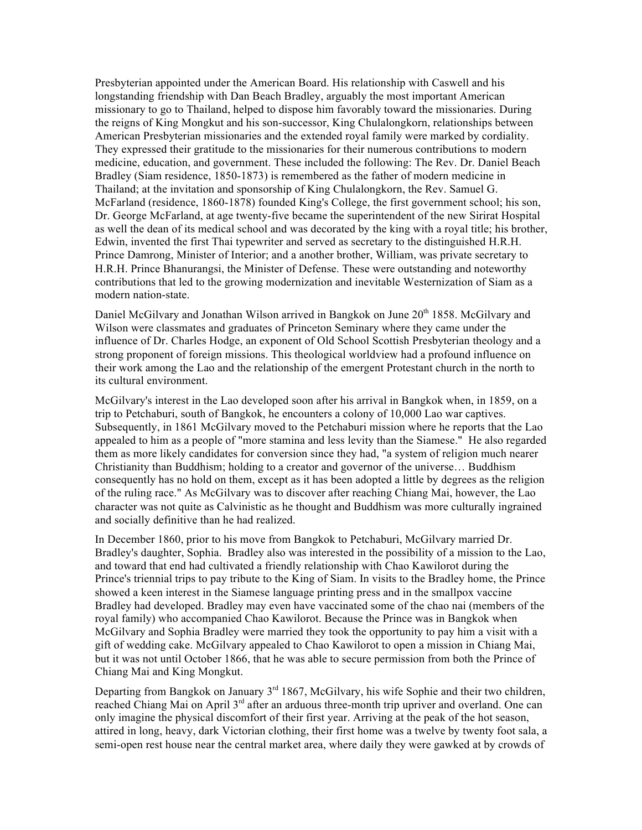Presbyterian appointed under the American Board. His relationship with Caswell and his longstanding friendship with Dan Beach Bradley, arguably the most important American missionary to go to Thailand, helped to dispose him favorably toward the missionaries. During the reigns of King Mongkut and his son-successor, King Chulalongkorn, relationships between American Presbyterian missionaries and the extended royal family were marked by cordiality. They expressed their gratitude to the missionaries for their numerous contributions to modern medicine, education, and government. These included the following: The Rev. Dr. Daniel Beach Bradley (Siam residence, 1850-1873) is remembered as the father of modern medicine in Thailand; at the invitation and sponsorship of King Chulalongkorn, the Rev. Samuel G. McFarland (residence, 1860-1878) founded King's College, the first government school; his son, Dr. George McFarland, at age twenty-five became the superintendent of the new Sirirat Hospital as well the dean of its medical school and was decorated by the king with a royal title; his brother, Edwin, invented the first Thai typewriter and served as secretary to the distinguished H.R.H. Prince Damrong, Minister of Interior; and a another brother, William, was private secretary to H.R.H. Prince Bhanurangsi, the Minister of Defense. These were outstanding and noteworthy contributions that led to the growing modernization and inevitable Westernization of Siam as a modern nation-state.

Daniel McGilvary and Jonathan Wilson arrived in Bangkok on June 20<sup>th</sup> 1858. McGilvary and Wilson were classmates and graduates of Princeton Seminary where they came under the influence of Dr. Charles Hodge, an exponent of Old School Scottish Presbyterian theology and a strong proponent of foreign missions. This theological worldview had a profound influence on their work among the Lao and the relationship of the emergent Protestant church in the north to its cultural environment.

McGilvary's interest in the Lao developed soon after his arrival in Bangkok when, in 1859, on a trip to Petchaburi, south of Bangkok, he encounters a colony of 10,000 Lao war captives. Subsequently, in 1861 McGilvary moved to the Petchaburi mission where he reports that the Lao appealed to him as a people of "more stamina and less levity than the Siamese." He also regarded them as more likely candidates for conversion since they had, "a system of religion much nearer Christianity than Buddhism; holding to a creator and governor of the universe… Buddhism consequently has no hold on them, except as it has been adopted a little by degrees as the religion of the ruling race." As McGilvary was to discover after reaching Chiang Mai, however, the Lao character was not quite as Calvinistic as he thought and Buddhism was more culturally ingrained and socially definitive than he had realized.

In December 1860, prior to his move from Bangkok to Petchaburi, McGilvary married Dr. Bradley's daughter, Sophia. Bradley also was interested in the possibility of a mission to the Lao, and toward that end had cultivated a friendly relationship with Chao Kawilorot during the Prince's triennial trips to pay tribute to the King of Siam. In visits to the Bradley home, the Prince showed a keen interest in the Siamese language printing press and in the smallpox vaccine Bradley had developed. Bradley may even have vaccinated some of the chao nai (members of the royal family) who accompanied Chao Kawilorot. Because the Prince was in Bangkok when McGilvary and Sophia Bradley were married they took the opportunity to pay him a visit with a gift of wedding cake. McGilvary appealed to Chao Kawilorot to open a mission in Chiang Mai, but it was not until October 1866, that he was able to secure permission from both the Prince of Chiang Mai and King Mongkut.

Departing from Bangkok on January  $3<sup>rd</sup> 1867$ , McGilvary, his wife Sophie and their two children, reached Chiang Mai on April 3<sup>rd</sup> after an arduous three-month trip upriver and overland. One can only imagine the physical discomfort of their first year. Arriving at the peak of the hot season, attired in long, heavy, dark Victorian clothing, their first home was a twelve by twenty foot sala, a semi-open rest house near the central market area, where daily they were gawked at by crowds of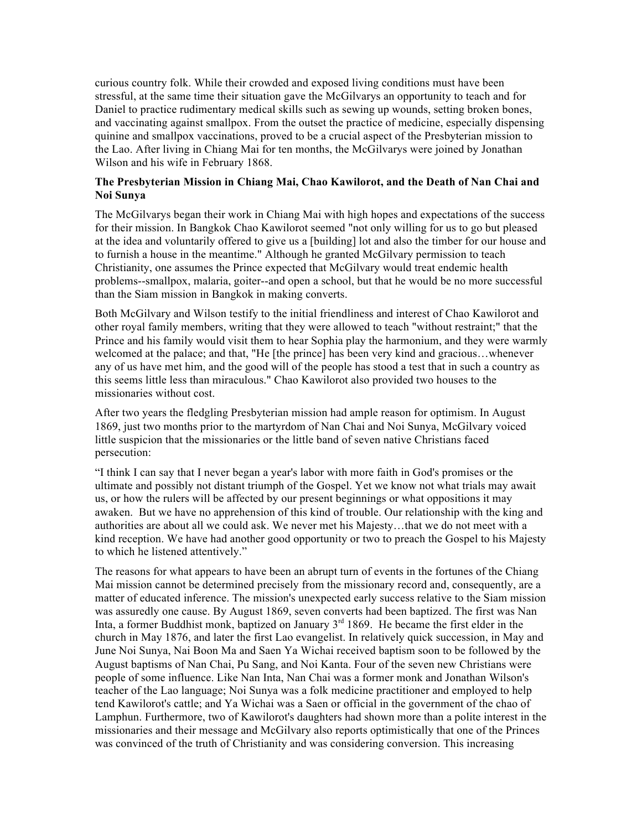curious country folk. While their crowded and exposed living conditions must have been stressful, at the same time their situation gave the McGilvarys an opportunity to teach and for Daniel to practice rudimentary medical skills such as sewing up wounds, setting broken bones, and vaccinating against smallpox. From the outset the practice of medicine, especially dispensing quinine and smallpox vaccinations, proved to be a crucial aspect of the Presbyterian mission to the Lao. After living in Chiang Mai for ten months, the McGilvarys were joined by Jonathan Wilson and his wife in February 1868.

#### **The Presbyterian Mission in Chiang Mai, Chao Kawilorot, and the Death of Nan Chai and Noi Sunya**

The McGilvarys began their work in Chiang Mai with high hopes and expectations of the success for their mission. In Bangkok Chao Kawilorot seemed "not only willing for us to go but pleased at the idea and voluntarily offered to give us a [building] lot and also the timber for our house and to furnish a house in the meantime." Although he granted McGilvary permission to teach Christianity, one assumes the Prince expected that McGilvary would treat endemic health problems--smallpox, malaria, goiter--and open a school, but that he would be no more successful than the Siam mission in Bangkok in making converts.

Both McGilvary and Wilson testify to the initial friendliness and interest of Chao Kawilorot and other royal family members, writing that they were allowed to teach "without restraint;" that the Prince and his family would visit them to hear Sophia play the harmonium, and they were warmly welcomed at the palace; and that, "He [the prince] has been very kind and gracious…whenever any of us have met him, and the good will of the people has stood a test that in such a country as this seems little less than miraculous." Chao Kawilorot also provided two houses to the missionaries without cost.

After two years the fledgling Presbyterian mission had ample reason for optimism. In August 1869, just two months prior to the martyrdom of Nan Chai and Noi Sunya, McGilvary voiced little suspicion that the missionaries or the little band of seven native Christians faced persecution:

"I think I can say that I never began a year's labor with more faith in God's promises or the ultimate and possibly not distant triumph of the Gospel. Yet we know not what trials may await us, or how the rulers will be affected by our present beginnings or what oppositions it may awaken. But we have no apprehension of this kind of trouble. Our relationship with the king and authorities are about all we could ask. We never met his Majesty…that we do not meet with a kind reception. We have had another good opportunity or two to preach the Gospel to his Majesty to which he listened attentively."

The reasons for what appears to have been an abrupt turn of events in the fortunes of the Chiang Mai mission cannot be determined precisely from the missionary record and, consequently, are a matter of educated inference. The mission's unexpected early success relative to the Siam mission was assuredly one cause. By August 1869, seven converts had been baptized. The first was Nan Inta, a former Buddhist monk, baptized on January  $3<sup>rd</sup> 1869$ . He became the first elder in the church in May 1876, and later the first Lao evangelist. In relatively quick succession, in May and June Noi Sunya, Nai Boon Ma and Saen Ya Wichai received baptism soon to be followed by the August baptisms of Nan Chai, Pu Sang, and Noi Kanta. Four of the seven new Christians were people of some influence. Like Nan Inta, Nan Chai was a former monk and Jonathan Wilson's teacher of the Lao language; Noi Sunya was a folk medicine practitioner and employed to help tend Kawilorot's cattle; and Ya Wichai was a Saen or official in the government of the chao of Lamphun. Furthermore, two of Kawilorot's daughters had shown more than a polite interest in the missionaries and their message and McGilvary also reports optimistically that one of the Princes was convinced of the truth of Christianity and was considering conversion. This increasing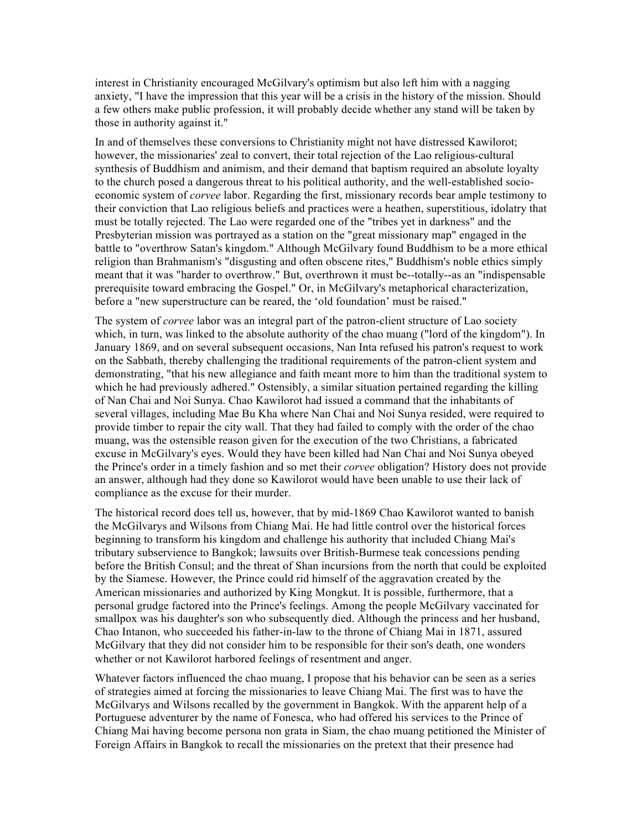interest in Christianity encouraged McGilvary's optimism but also left him with a nagging anxiety, "I have the impression that this year will be a crisis in the history of the mission. Should a few others make public profession, it will probably decide whether any stand will be taken by those in authority against it."

In and of themselves these conversions to Christianity might not have distressed Kawilorot; however, the missionaries' zeal to convert, their total rejection of the Lao religious-cultural synthesis of Buddhism and animism, and their demand that baptism required an absolute loyalty to the church posed a dangerous threat to his political authority, and the well-established socioeconomic system of *corvee* labor. Regarding the first, missionary records bear ample testimony to their conviction that Lao religious beliefs and practices were a heathen, superstitious, idolatry that must be totally rejected. The Lao were regarded one of the "tribes yet in darkness" and the Presbyterian mission was portrayed as a station on the "great missionary map" engaged in the battle to "overthrow Satan's kingdom." Although McGilvary found Buddhism to be a more ethical religion than Brahmanism's "disgusting and often obscene rites," Buddhism's noble ethics simply meant that it was "harder to overthrow." But, overthrown it must be--totally--as an "indispensable prerequisite toward embracing the Gospel." Or, in McGilvary's metaphorical characterization, before a "new superstructure can be reared, the 'old foundation' must be raised."

The system of *corvee* labor was an integral part of the patron-client structure of Lao society which, in turn, was linked to the absolute authority of the chao muang ("lord of the kingdom"). In January 1869, and on several subsequent occasions, Nan Inta refused his patron's request to work on the Sabbath, thereby challenging the traditional requirements of the patron-client system and demonstrating, "that his new allegiance and faith meant more to him than the traditional system to which he had previously adhered." Ostensibly, a similar situation pertained regarding the killing of Nan Chai and Noi Sunya. Chao Kawilorot had issued a command that the inhabitants of several villages, including Mae Bu Kha where Nan Chai and Noi Sunya resided, were required to provide timber to repair the city wall. That they had failed to comply with the order of the chao muang, was the ostensible reason given for the execution of the two Christians, a fabricated excuse in McGilvary's eyes. Would they have been killed had Nan Chai and Noi Sunya obeyed the Prince's order in a timely fashion and so met their *corvee* obligation? History does not provide an answer, although had they done so Kawilorot would have been unable to use their lack of compliance as the excuse for their murder.

The historical record does tell us, however, that by mid-1869 Chao Kawilorot wanted to banish the McGilvarys and Wilsons from Chiang Mai. He had little control over the historical forces beginning to transform his kingdom and challenge his authority that included Chiang Mai's tributary subservience to Bangkok; lawsuits over British-Burmese teak concessions pending before the British Consul; and the threat of Shan incursions from the north that could be exploited by the Siamese. However, the Prince could rid himself of the aggravation created by the American missionaries and authorized by King Mongkut. It is possible, furthermore, that a personal grudge factored into the Prince's feelings. Among the people McGilvary vaccinated for smallpox was his daughter's son who subsequently died. Although the princess and her husband, Chao Intanon, who succeeded his father-in-law to the throne of Chiang Mai in 1871, assured McGilvary that they did not consider him to be responsible for their son's death, one wonders whether or not Kawilorot harbored feelings of resentment and anger.

Whatever factors influenced the chao muang, I propose that his behavior can be seen as a series of strategies aimed at forcing the missionaries to leave Chiang Mai. The first was to have the McGilvarys and Wilsons recalled by the government in Bangkok. With the apparent help of a Portuguese adventurer by the name of Fonesca, who had offered his services to the Prince of Chiang Mai having become persona non grata in Siam, the chao muang petitioned the Minister of Foreign Affairs in Bangkok to recall the missionaries on the pretext that their presence had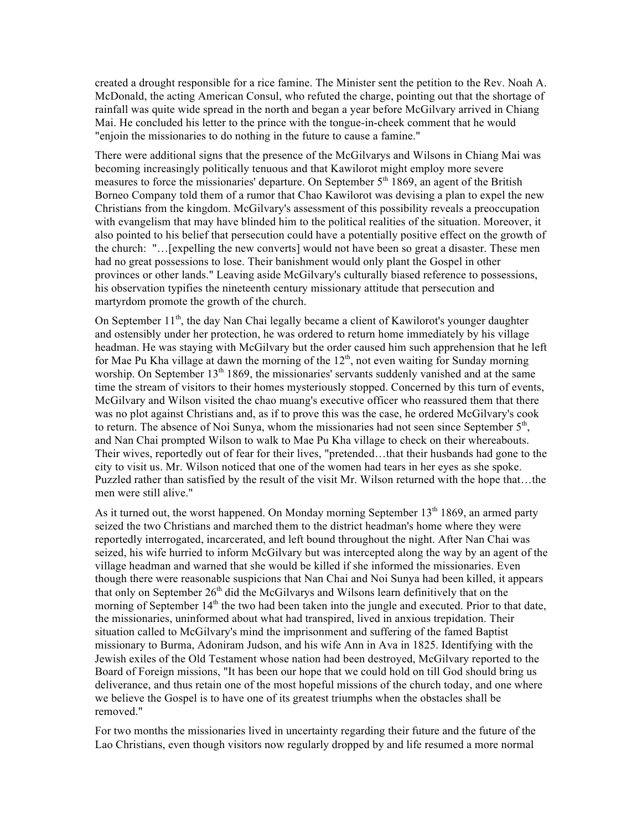created a drought responsible for a rice famine. The Minister sent the petition to the Rev. Noah A. McDonald, the acting American Consul, who refuted the charge, pointing out that the shortage of rainfall was quite wide spread in the north and began a year before McGilvary arrived in Chiang Mai. He concluded his letter to the prince with the tongue-in-cheek comment that he would "enjoin the missionaries to do nothing in the future to cause a famine."

There were additional signs that the presence of the McGilvarys and Wilsons in Chiang Mai was becoming increasingly politically tenuous and that Kawilorot might employ more severe measures to force the missionaries' departure. On September  $5<sup>th</sup> 1869$ , an agent of the British Borneo Company told them of a rumor that Chao Kawilorot was devising a plan to expel the new Christians from the kingdom. McGilvary's assessment of this possibility reveals a preoccupation with evangelism that may have blinded him to the political realities of the situation. Moreover, it also pointed to his belief that persecution could have a potentially positive effect on the growth of the church: "…[expelling the new converts] would not have been so great a disaster. These men had no great possessions to lose. Their banishment would only plant the Gospel in other provinces or other lands." Leaving aside McGilvary's culturally biased reference to possessions, his observation typifies the nineteenth century missionary attitude that persecution and martyrdom promote the growth of the church.

On September  $11<sup>th</sup>$ , the day Nan Chai legally became a client of Kawilorot's younger daughter and ostensibly under her protection, he was ordered to return home immediately by his village headman. He was staying with McGilvary but the order caused him such apprehension that he left for Mae Pu Kha village at dawn the morning of the  $12<sup>th</sup>$ , not even waiting for Sunday morning worship. On September 13<sup>th</sup> 1869, the missionaries' servants suddenly vanished and at the same time the stream of visitors to their homes mysteriously stopped. Concerned by this turn of events, McGilvary and Wilson visited the chao muang's executive officer who reassured them that there was no plot against Christians and, as if to prove this was the case, he ordered McGilvary's cook to return. The absence of Noi Sunya, whom the missionaries had not seen since September  $5<sup>th</sup>$ , and Nan Chai prompted Wilson to walk to Mae Pu Kha village to check on their whereabouts. Their wives, reportedly out of fear for their lives, "pretended…that their husbands had gone to the city to visit us. Mr. Wilson noticed that one of the women had tears in her eyes as she spoke. Puzzled rather than satisfied by the result of the visit Mr. Wilson returned with the hope that…the men were still alive."

As it turned out, the worst happened. On Monday morning September  $13<sup>th</sup> 1869$ , an armed party seized the two Christians and marched them to the district headman's home where they were reportedly interrogated, incarcerated, and left bound throughout the night. After Nan Chai was seized, his wife hurried to inform McGilvary but was intercepted along the way by an agent of the village headman and warned that she would be killed if she informed the missionaries. Even though there were reasonable suspicions that Nan Chai and Noi Sunya had been killed, it appears that only on September  $26<sup>th</sup>$  did the McGilvarys and Wilsons learn definitively that on the morning of September 14<sup>th</sup> the two had been taken into the jungle and executed. Prior to that date, the missionaries, uninformed about what had transpired, lived in anxious trepidation. Their situation called to McGilvary's mind the imprisonment and suffering of the famed Baptist missionary to Burma, Adoniram Judson, and his wife Ann in Ava in 1825. Identifying with the Jewish exiles of the Old Testament whose nation had been destroyed, McGilvary reported to the Board of Foreign missions, "It has been our hope that we could hold on till God should bring us deliverance, and thus retain one of the most hopeful missions of the church today, and one where we believe the Gospel is to have one of its greatest triumphs when the obstacles shall be removed."

For two months the missionaries lived in uncertainty regarding their future and the future of the Lao Christians, even though visitors now regularly dropped by and life resumed a more normal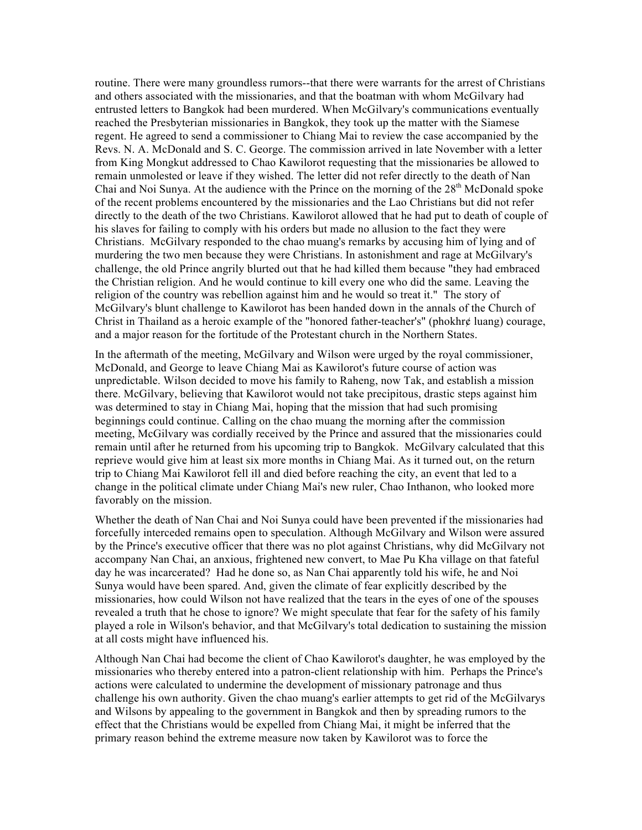routine. There were many groundless rumors--that there were warrants for the arrest of Christians and others associated with the missionaries, and that the boatman with whom McGilvary had entrusted letters to Bangkok had been murdered. When McGilvary's communications eventually reached the Presbyterian missionaries in Bangkok, they took up the matter with the Siamese regent. He agreed to send a commissioner to Chiang Mai to review the case accompanied by the Revs. N. A. McDonald and S. C. George. The commission arrived in late November with a letter from King Mongkut addressed to Chao Kawilorot requesting that the missionaries be allowed to remain unmolested or leave if they wished. The letter did not refer directly to the death of Nan Chai and Noi Sunya. At the audience with the Prince on the morning of the  $28<sup>th</sup>$  McDonald spoke of the recent problems encountered by the missionaries and the Lao Christians but did not refer directly to the death of the two Christians. Kawilorot allowed that he had put to death of couple of his slaves for failing to comply with his orders but made no allusion to the fact they were Christians. McGilvary responded to the chao muang's remarks by accusing him of lying and of murdering the two men because they were Christians. In astonishment and rage at McGilvary's challenge, the old Prince angrily blurted out that he had killed them because "they had embraced the Christian religion. And he would continue to kill every one who did the same. Leaving the religion of the country was rebellion against him and he would so treat it." The story of McGilvary's blunt challenge to Kawilorot has been handed down in the annals of the Church of Christ in Thailand as a heroic example of the "honored father-teacher's" (phokhr¢ luang) courage, and a major reason for the fortitude of the Protestant church in the Northern States.

In the aftermath of the meeting, McGilvary and Wilson were urged by the royal commissioner, McDonald, and George to leave Chiang Mai as Kawilorot's future course of action was unpredictable. Wilson decided to move his family to Raheng, now Tak, and establish a mission there. McGilvary, believing that Kawilorot would not take precipitous, drastic steps against him was determined to stay in Chiang Mai, hoping that the mission that had such promising beginnings could continue. Calling on the chao muang the morning after the commission meeting, McGilvary was cordially received by the Prince and assured that the missionaries could remain until after he returned from his upcoming trip to Bangkok. McGilvary calculated that this reprieve would give him at least six more months in Chiang Mai. As it turned out, on the return trip to Chiang Mai Kawilorot fell ill and died before reaching the city, an event that led to a change in the political climate under Chiang Mai's new ruler, Chao Inthanon, who looked more favorably on the mission.

Whether the death of Nan Chai and Noi Sunya could have been prevented if the missionaries had forcefully interceded remains open to speculation. Although McGilvary and Wilson were assured by the Prince's executive officer that there was no plot against Christians, why did McGilvary not accompany Nan Chai, an anxious, frightened new convert, to Mae Pu Kha village on that fateful day he was incarcerated? Had he done so, as Nan Chai apparently told his wife, he and Noi Sunya would have been spared. And, given the climate of fear explicitly described by the missionaries, how could Wilson not have realized that the tears in the eyes of one of the spouses revealed a truth that he chose to ignore? We might speculate that fear for the safety of his family played a role in Wilson's behavior, and that McGilvary's total dedication to sustaining the mission at all costs might have influenced his.

Although Nan Chai had become the client of Chao Kawilorot's daughter, he was employed by the missionaries who thereby entered into a patron-client relationship with him. Perhaps the Prince's actions were calculated to undermine the development of missionary patronage and thus challenge his own authority. Given the chao muang's earlier attempts to get rid of the McGilvarys and Wilsons by appealing to the government in Bangkok and then by spreading rumors to the effect that the Christians would be expelled from Chiang Mai, it might be inferred that the primary reason behind the extreme measure now taken by Kawilorot was to force the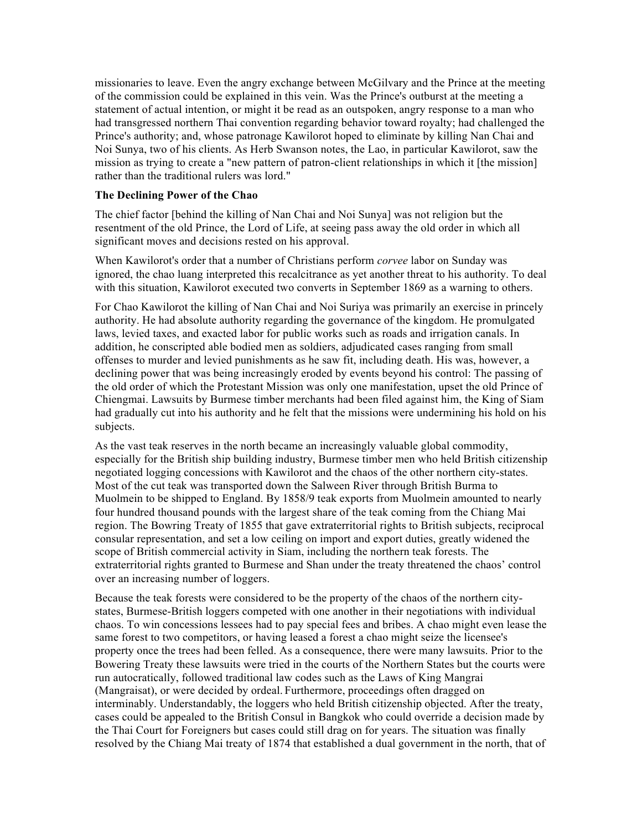missionaries to leave. Even the angry exchange between McGilvary and the Prince at the meeting of the commission could be explained in this vein. Was the Prince's outburst at the meeting a statement of actual intention, or might it be read as an outspoken, angry response to a man who had transgressed northern Thai convention regarding behavior toward royalty; had challenged the Prince's authority; and, whose patronage Kawilorot hoped to eliminate by killing Nan Chai and Noi Sunya, two of his clients. As Herb Swanson notes, the Lao, in particular Kawilorot, saw the mission as trying to create a "new pattern of patron-client relationships in which it [the mission] rather than the traditional rulers was lord."

#### **The Declining Power of the Chao**

The chief factor [behind the killing of Nan Chai and Noi Sunya] was not religion but the resentment of the old Prince, the Lord of Life, at seeing pass away the old order in which all significant moves and decisions rested on his approval.

When Kawilorot's order that a number of Christians perform *corvee* labor on Sunday was ignored, the chao luang interpreted this recalcitrance as yet another threat to his authority. To deal with this situation, Kawilorot executed two converts in September 1869 as a warning to others.

For Chao Kawilorot the killing of Nan Chai and Noi Suriya was primarily an exercise in princely authority. He had absolute authority regarding the governance of the kingdom. He promulgated laws, levied taxes, and exacted labor for public works such as roads and irrigation canals. In addition, he conscripted able bodied men as soldiers, adjudicated cases ranging from small offenses to murder and levied punishments as he saw fit, including death. His was, however, a declining power that was being increasingly eroded by events beyond his control: The passing of the old order of which the Protestant Mission was only one manifestation, upset the old Prince of Chiengmai. Lawsuits by Burmese timber merchants had been filed against him, the King of Siam had gradually cut into his authority and he felt that the missions were undermining his hold on his subjects.

As the vast teak reserves in the north became an increasingly valuable global commodity, especially for the British ship building industry, Burmese timber men who held British citizenship negotiated logging concessions with Kawilorot and the chaos of the other northern city-states. Most of the cut teak was transported down the Salween River through British Burma to Muolmein to be shipped to England. By 1858/9 teak exports from Muolmein amounted to nearly four hundred thousand pounds with the largest share of the teak coming from the Chiang Mai region. The Bowring Treaty of 1855 that gave extraterritorial rights to British subjects, reciprocal consular representation, and set a low ceiling on import and export duties, greatly widened the scope of British commercial activity in Siam, including the northern teak forests. The extraterritorial rights granted to Burmese and Shan under the treaty threatened the chaos' control over an increasing number of loggers.

Because the teak forests were considered to be the property of the chaos of the northern citystates, Burmese-British loggers competed with one another in their negotiations with individual chaos. To win concessions lessees had to pay special fees and bribes. A chao might even lease the same forest to two competitors, or having leased a forest a chao might seize the licensee's property once the trees had been felled. As a consequence, there were many lawsuits. Prior to the Bowering Treaty these lawsuits were tried in the courts of the Northern States but the courts were run autocratically, followed traditional law codes such as the Laws of King Mangrai (Mangraisat), or were decided by ordeal. Furthermore, proceedings often dragged on interminably. Understandably, the loggers who held British citizenship objected. After the treaty, cases could be appealed to the British Consul in Bangkok who could override a decision made by the Thai Court for Foreigners but cases could still drag on for years. The situation was finally resolved by the Chiang Mai treaty of 1874 that established a dual government in the north, that of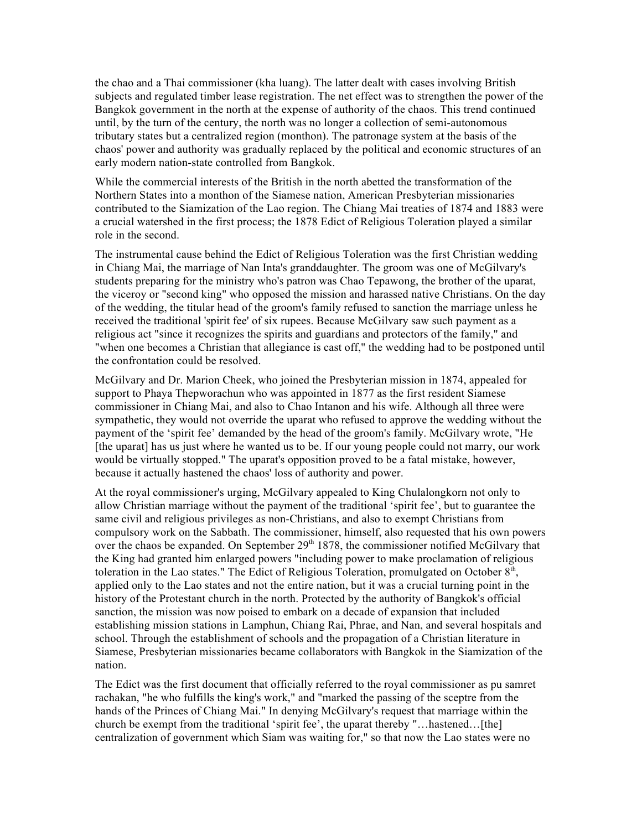the chao and a Thai commissioner (kha luang). The latter dealt with cases involving British subjects and regulated timber lease registration. The net effect was to strengthen the power of the Bangkok government in the north at the expense of authority of the chaos. This trend continued until, by the turn of the century, the north was no longer a collection of semi-autonomous tributary states but a centralized region (monthon). The patronage system at the basis of the chaos' power and authority was gradually replaced by the political and economic structures of an early modern nation-state controlled from Bangkok.

While the commercial interests of the British in the north abetted the transformation of the Northern States into a monthon of the Siamese nation, American Presbyterian missionaries contributed to the Siamization of the Lao region. The Chiang Mai treaties of 1874 and 1883 were a crucial watershed in the first process; the 1878 Edict of Religious Toleration played a similar role in the second.

The instrumental cause behind the Edict of Religious Toleration was the first Christian wedding in Chiang Mai, the marriage of Nan Inta's granddaughter. The groom was one of McGilvary's students preparing for the ministry who's patron was Chao Tepawong, the brother of the uparat, the viceroy or "second king" who opposed the mission and harassed native Christians. On the day of the wedding, the titular head of the groom's family refused to sanction the marriage unless he received the traditional 'spirit fee' of six rupees. Because McGilvary saw such payment as a religious act "since it recognizes the spirits and guardians and protectors of the family," and "when one becomes a Christian that allegiance is cast off," the wedding had to be postponed until the confrontation could be resolved.

McGilvary and Dr. Marion Cheek, who joined the Presbyterian mission in 1874, appealed for support to Phaya Thepworachun who was appointed in 1877 as the first resident Siamese commissioner in Chiang Mai, and also to Chao Intanon and his wife. Although all three were sympathetic, they would not override the uparat who refused to approve the wedding without the payment of the 'spirit fee' demanded by the head of the groom's family. McGilvary wrote, "He [the uparat] has us just where he wanted us to be. If our young people could not marry, our work would be virtually stopped." The uparat's opposition proved to be a fatal mistake, however, because it actually hastened the chaos' loss of authority and power.

At the royal commissioner's urging, McGilvary appealed to King Chulalongkorn not only to allow Christian marriage without the payment of the traditional 'spirit fee', but to guarantee the same civil and religious privileges as non-Christians, and also to exempt Christians from compulsory work on the Sabbath. The commissioner, himself, also requested that his own powers over the chaos be expanded. On September  $29<sup>th</sup> 1878$ , the commissioner notified McGilvary that the King had granted him enlarged powers "including power to make proclamation of religious toleration in the Lao states." The Edict of Religious Toleration, promulgated on October  $8<sup>th</sup>$ , applied only to the Lao states and not the entire nation, but it was a crucial turning point in the history of the Protestant church in the north. Protected by the authority of Bangkok's official sanction, the mission was now poised to embark on a decade of expansion that included establishing mission stations in Lamphun, Chiang Rai, Phrae, and Nan, and several hospitals and school. Through the establishment of schools and the propagation of a Christian literature in Siamese, Presbyterian missionaries became collaborators with Bangkok in the Siamization of the nation.

The Edict was the first document that officially referred to the royal commissioner as pu samret rachakan, "he who fulfills the king's work," and "marked the passing of the sceptre from the hands of the Princes of Chiang Mai." In denying McGilvary's request that marriage within the church be exempt from the traditional 'spirit fee', the uparat thereby "...hastened...[the] centralization of government which Siam was waiting for," so that now the Lao states were no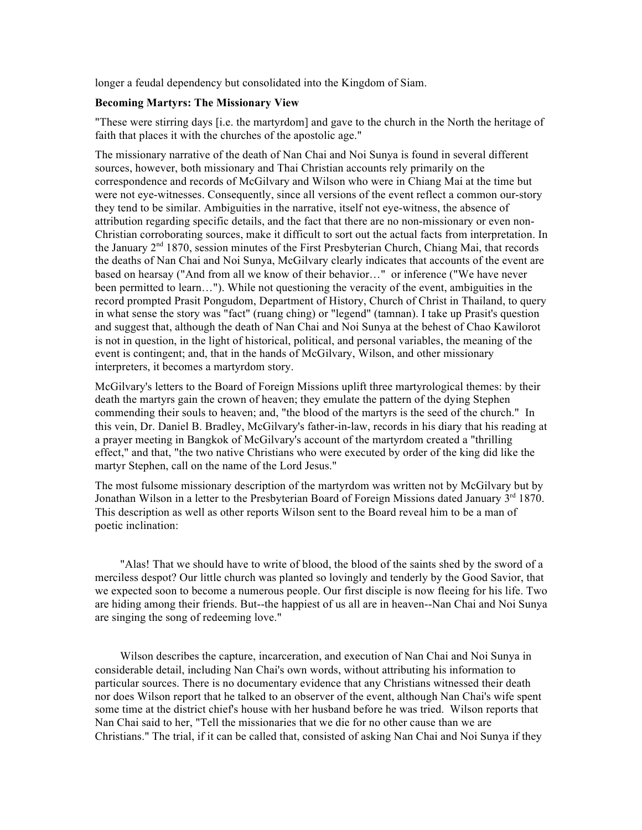longer a feudal dependency but consolidated into the Kingdom of Siam.

#### **Becoming Martyrs: The Missionary View**

"These were stirring days [i.e. the martyrdom] and gave to the church in the North the heritage of faith that places it with the churches of the apostolic age."

The missionary narrative of the death of Nan Chai and Noi Sunya is found in several different sources, however, both missionary and Thai Christian accounts rely primarily on the correspondence and records of McGilvary and Wilson who were in Chiang Mai at the time but were not eye-witnesses. Consequently, since all versions of the event reflect a common our-story they tend to be similar. Ambiguities in the narrative, itself not eye-witness, the absence of attribution regarding specific details, and the fact that there are no non-missionary or even non-Christian corroborating sources, make it difficult to sort out the actual facts from interpretation. In the January  $2<sup>nd</sup> 1870$ , session minutes of the First Presbyterian Church, Chiang Mai, that records the deaths of Nan Chai and Noi Sunya, McGilvary clearly indicates that accounts of the event are based on hearsay ("And from all we know of their behavior…" or inference ("We have never been permitted to learn…"). While not questioning the veracity of the event, ambiguities in the record prompted Prasit Pongudom, Department of History, Church of Christ in Thailand, to query in what sense the story was "fact" (ruang ching) or "legend" (tamnan). I take up Prasit's question and suggest that, although the death of Nan Chai and Noi Sunya at the behest of Chao Kawilorot is not in question, in the light of historical, political, and personal variables, the meaning of the event is contingent; and, that in the hands of McGilvary, Wilson, and other missionary interpreters, it becomes a martyrdom story.

McGilvary's letters to the Board of Foreign Missions uplift three martyrological themes: by their death the martyrs gain the crown of heaven; they emulate the pattern of the dying Stephen commending their souls to heaven; and, "the blood of the martyrs is the seed of the church." In this vein, Dr. Daniel B. Bradley, McGilvary's father-in-law, records in his diary that his reading at a prayer meeting in Bangkok of McGilvary's account of the martyrdom created a "thrilling effect," and that, "the two native Christians who were executed by order of the king did like the martyr Stephen, call on the name of the Lord Jesus."

The most fulsome missionary description of the martyrdom was written not by McGilvary but by Jonathan Wilson in a letter to the Presbyterian Board of Foreign Missions dated January  $3<sup>rd</sup> 1870$ . This description as well as other reports Wilson sent to the Board reveal him to be a man of poetic inclination:

"Alas! That we should have to write of blood, the blood of the saints shed by the sword of a merciless despot? Our little church was planted so lovingly and tenderly by the Good Savior, that we expected soon to become a numerous people. Our first disciple is now fleeing for his life. Two are hiding among their friends. But--the happiest of us all are in heaven--Nan Chai and Noi Sunya are singing the song of redeeming love."

Wilson describes the capture, incarceration, and execution of Nan Chai and Noi Sunya in considerable detail, including Nan Chai's own words, without attributing his information to particular sources. There is no documentary evidence that any Christians witnessed their death nor does Wilson report that he talked to an observer of the event, although Nan Chai's wife spent some time at the district chief's house with her husband before he was tried. Wilson reports that Nan Chai said to her, "Tell the missionaries that we die for no other cause than we are Christians." The trial, if it can be called that, consisted of asking Nan Chai and Noi Sunya if they